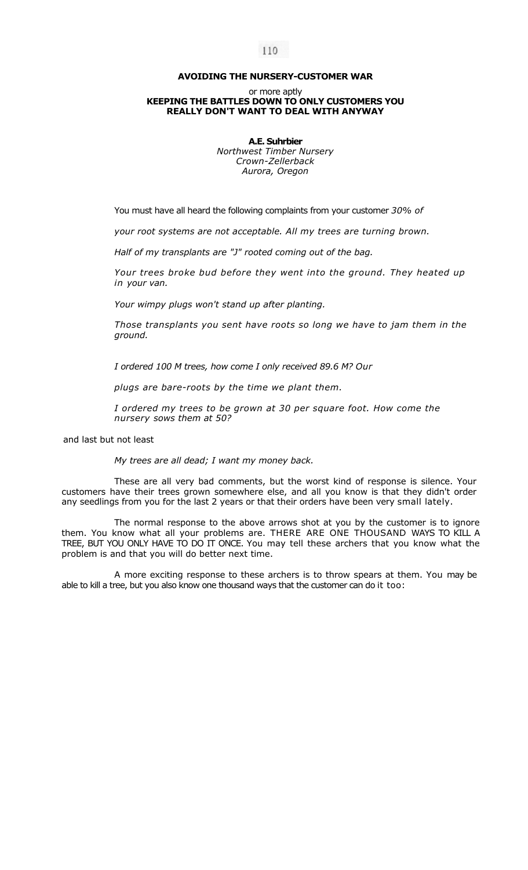## **AVOIDING THE NURSERY-CUSTOMER WAR**

## or more aptly **KEEPING THE BATTLES DOWN TO ONLY CUSTOMERS YOU REALLY DON'T WANT TO DEAL WITH ANYWAY**

**A.E. Suhrbier**  *Northwest Timber Nursery Crown-Zellerback Aurora, Oregon* 

You must have all heard the following complaints from your customer *30% of* 

*your root systems are not acceptable. All my trees are turning brown.* 

*Half of my transplants are "J" rooted coming out of the bag.* 

*Your trees broke bud before they went into the ground. They heated up in your van.* 

*Your wimpy plugs won't stand up after planting.* 

*Those transplants you sent have roots so long we have to jam them in the ground.* 

*I ordered 100 M trees, how come I only received 89.6 M? Our* 

*plugs are bare-roots by the time we plant them.* 

*I ordered my trees to be grown at 30 per square foot. How come the nursery sows them at 50?* 

and last but not least

*My trees are all dead; I want my money back.* 

These are all very bad comments, but the worst kind of response is silence. Your customers have their trees grown somewhere else, and all you know is that they didn't order any seedlings from you for the last 2 years or that their orders have been very small lately.

The normal response to the above arrows shot at you by the customer is to ignore them. You know what all your problems are. THERE ARE ONE THOUSAND WAYS TO KILL A TREE, BUT YOU ONLY HAVE TO DO IT ONCE. You may tell these archers that you know what the problem is and that you will do better next time.

A more exciting response to these archers is to throw spears at them. You may be able to kill a tree, but you also know one thousand ways that the customer can do it too: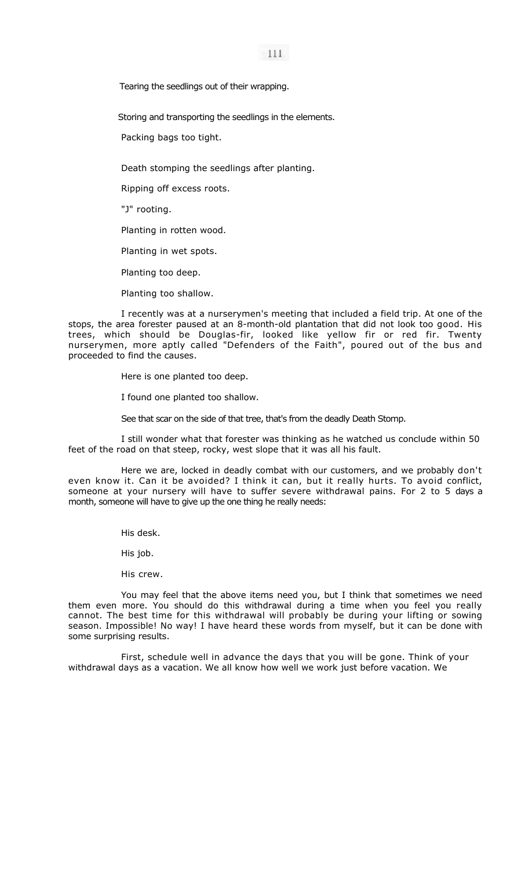$111$ 

Tearing the seedlings out of their wrapping.

Storing and transporting the seedlings in the elements.

Packing bags too tight.

Death stomping the seedlings after planting.

Ripping off excess roots.

"J" rooting.

Planting in rotten wood.

Planting in wet spots.

Planting too deep.

Planting too shallow.

I recently was at a nurserymen's meeting that included a field trip. At one of the stops, the area forester paused at an 8-month-old plantation that did not look too good. His trees, which should be Douglas-fir, looked like yellow fir or red fir. Twenty nurserymen, more aptly called "Defenders of the Faith", poured out of the bus and proceeded to find the causes.

Here is one planted too deep.

I found one planted too shallow.

See that scar on the side of that tree, that's from the deadly Death Stomp.

I still wonder what that forester was thinking as he watched us conclude within 50 feet of the road on that steep, rocky, west slope that it was all his fault.

Here we are, locked in deadly combat with our customers, and we probably don't even know it. Can it be avoided? I think it can, but it really hurts. To avoid conflict, someone at your nursery will have to suffer severe withdrawal pains. For 2 to 5 days a month, someone will have to give up the one thing he really needs:

His desk.

His job.

His crew.

You may feel that the above items need you, but I think that sometimes we need them even more. You should do this withdrawal during a time when you feel you really cannot. The best time for this withdrawal will probably be during your lifting or sowing season. Impossible! No way! I have heard these words from myself, but it can be done with some surprising results.

First, schedule well in advance the days that you will be gone. Think of your withdrawal days as a vacation. We all know how well we work just before vacation. We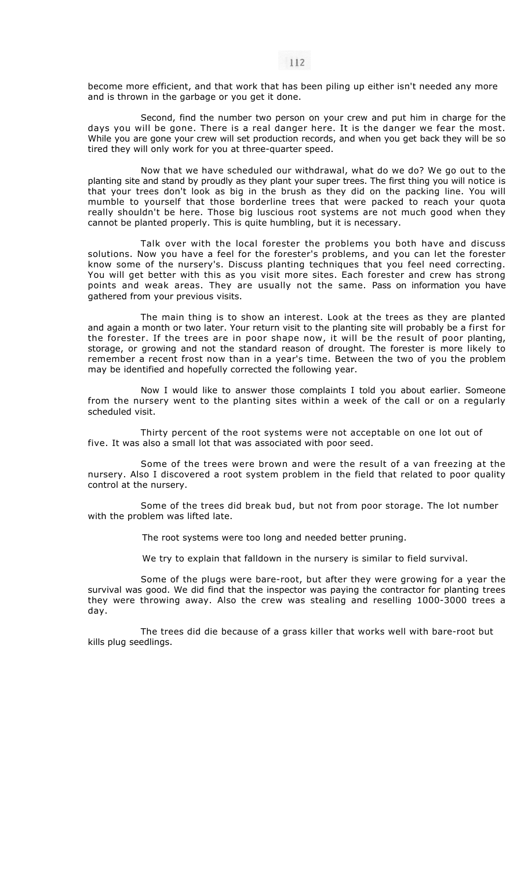become more efficient, and that work that has been piling up either isn't needed any more and is thrown in the garbage or you get it done.

Second, find the number two person on your crew and put him in charge for the days you will be gone. There is a real danger here. It is the danger we fear the most. While you are gone your crew will set production records, and when you get back they will be so tired they will only work for you at three-quarter speed.

Now that we have scheduled our withdrawal, what do we do? We go out to the planting site and stand by proudly as they plant your super trees. The first thing you will notice is that your trees don't look as big in the brush as they did on the packing line. You will mumble to yourself that those borderline trees that were packed to reach your quota really shouldn't be here. Those big luscious root systems are not much good when they cannot be planted properly. This is quite humbling, but it is necessary.

Talk over with the local forester the problems you both have and discuss solutions. Now you have a feel for the forester's problems, and you can let the forester know some of the nursery's. Discuss planting techniques that you feel need correcting. You will get better with this as you visit more sites. Each forester and crew has strong points and weak areas. They are usually not the same. Pass on information you have gathered from your previous visits.

The main thing is to show an interest. Look at the trees as they are planted and again a month or two later. Your return visit to the planting site will probably be a first for the forester. If the trees are in poor shape now, it will be the result of poor planting, storage, or growing and not the standard reason of drought. The forester is more likely to remember a recent frost now than in a year's time. Between the two of you the problem may be identified and hopefully corrected the following year.

Now I would like to answer those complaints I told you about earlier. Someone from the nursery went to the planting sites within a week of the call or on a regularly scheduled visit.

Thirty percent of the root systems were not acceptable on one lot out of five. It was also a small lot that was associated with poor seed.

Some of the trees were brown and were the result of a van freezing at the nursery. Also I discovered a root system problem in the field that related to poor quality control at the nursery.

Some of the trees did break bud, but not from poor storage. The lot number with the problem was lifted late.

The root systems were too long and needed better pruning.

We try to explain that falldown in the nursery is similar to field survival.

Some of the plugs were bare-root, but after they were growing for a year the survival was good. We did find that the inspector was paying the contractor for planting trees they were throwing away. Also the crew was stealing and reselling 1000-3000 trees a day.

The trees did die because of a grass killer that works well with bare-root but kills plug seedlings.